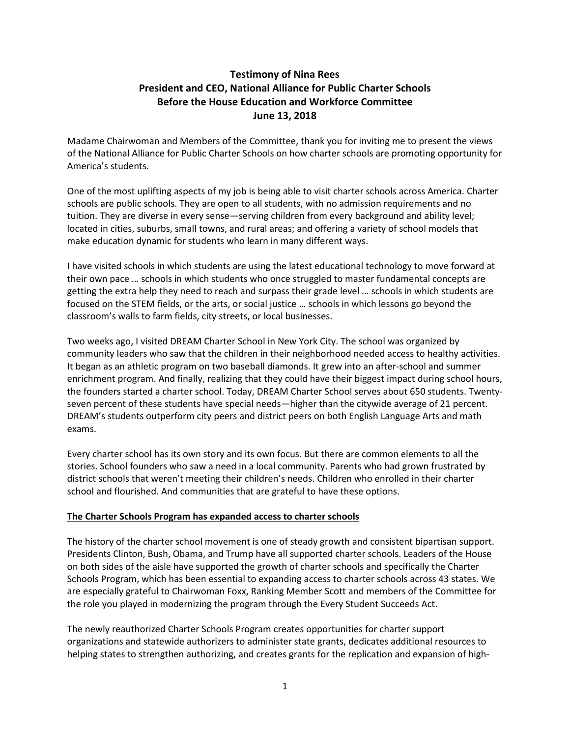# **Testimony of Nina Rees President and CEO, National Alliance for Public Charter Schools Before the House Education and Workforce Committee June 13, 2018**

Madame Chairwoman and Members of the Committee, thank you for inviting me to present the views of the National Alliance for Public Charter Schools on how charter schools are promoting opportunity for America's students.

One of the most uplifting aspects of my job is being able to visit charter schools across America. Charter schools are public schools. They are open to all students, with no admission requirements and no tuition. They are diverse in every sense—serving children from every background and ability level; located in cities, suburbs, small towns, and rural areas; and offering a variety of school models that make education dynamic for students who learn in many different ways.

I have visited schools in which students are using the latest educational technology to move forward at their own pace … schools in which students who once struggled to master fundamental concepts are getting the extra help they need to reach and surpass their grade level … schools in which students are focused on the STEM fields, or the arts, or social justice … schools in which lessons go beyond the classroom's walls to farm fields, city streets, or local businesses.

Two weeks ago, I visited DREAM Charter School in New York City. The school was organized by community leaders who saw that the children in their neighborhood needed access to healthy activities. It began as an athletic program on two baseball diamonds. It grew into an after-school and summer enrichment program. And finally, realizing that they could have their biggest impact during school hours, the founders started a charter school. Today, DREAM Charter School serves about 650 students. Twentyseven percent of these students have special needs—higher than the citywide average of 21 percent. DREAM's students outperform city peers and district peers on both English Language Arts and math exams.

Every charter school has its own story and its own focus. But there are common elements to all the stories. School founders who saw a need in a local community. Parents who had grown frustrated by district schools that weren't meeting their children's needs. Children who enrolled in their charter school and flourished. And communities that are grateful to have these options.

### **The Charter Schools Program has expanded access to charter schools**

The history of the charter school movement is one of steady growth and consistent bipartisan support. Presidents Clinton, Bush, Obama, and Trump have all supported charter schools. Leaders of the House on both sides of the aisle have supported the growth of charter schools and specifically the Charter Schools Program, which has been essential to expanding access to charter schools across 43 states. We are especially grateful to Chairwoman Foxx, Ranking Member Scott and members of the Committee for the role you played in modernizing the program through the Every Student Succeeds Act.

The newly reauthorized Charter Schools Program creates opportunities for charter support organizations and statewide authorizers to administer state grants, dedicates additional resources to helping states to strengthen authorizing, and creates grants for the replication and expansion of high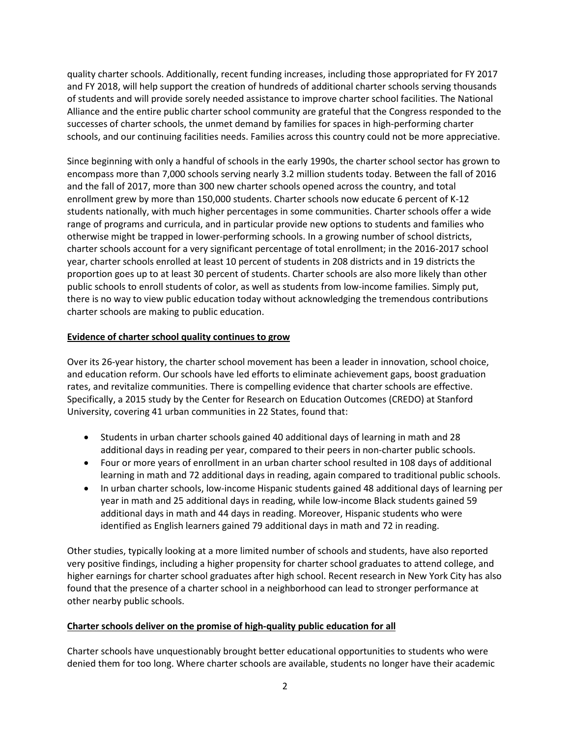quality charter schools. Additionally, recent funding increases, including those appropriated for FY 2017 and FY 2018, will help support the creation of hundreds of additional charter schools serving thousands of students and will provide sorely needed assistance to improve charter school facilities. The National Alliance and the entire public charter school community are grateful that the Congress responded to the successes of charter schools, the unmet demand by families for spaces in high-performing charter schools, and our continuing facilities needs. Families across this country could not be more appreciative.

Since beginning with only a handful of schools in the early 1990s, the charter school sector has grown to encompass more than 7,000 schools serving nearly 3.2 million students today. Between the fall of 2016 and the fall of 2017, more than 300 new charter schools opened across the country, and total enrollment grew by more than 150,000 students. Charter schools now educate 6 percent of K-12 students nationally, with much higher percentages in some communities. Charter schools offer a wide range of programs and curricula, and in particular provide new options to students and families who otherwise might be trapped in lower-performing schools. In a growing number of school districts, charter schools account for a very significant percentage of total enrollment; in the 2016-2017 school year, charter schools enrolled at least 10 percent of students in 208 districts and in 19 districts the proportion goes up to at least 30 percent of students. Charter schools are also more likely than other public schools to enroll students of color, as well as students from low-income families. Simply put, there is no way to view public education today without acknowledging the tremendous contributions charter schools are making to public education.

# **Evidence of charter school quality continues to grow**

Over its 26-year history, the charter school movement has been a leader in innovation, school choice, and education reform. Our schools have led efforts to eliminate achievement gaps, boost graduation rates, and revitalize communities. There is compelling evidence that charter schools are effective. Specifically, a 2015 study by the Center for Research on Education Outcomes (CREDO) at Stanford University, covering 41 urban communities in 22 States, found that:

- Students in urban charter schools gained 40 additional days of learning in math and 28 additional days in reading per year, compared to their peers in non-charter public schools.
- Four or more years of enrollment in an urban charter school resulted in 108 days of additional learning in math and 72 additional days in reading, again compared to traditional public schools.
- In urban charter schools, low-income Hispanic students gained 48 additional days of learning per year in math and 25 additional days in reading, while low-income Black students gained 59 additional days in math and 44 days in reading. Moreover, Hispanic students who were identified as English learners gained 79 additional days in math and 72 in reading.

Other studies, typically looking at a more limited number of schools and students, have also reported very positive findings, including a higher propensity for charter school graduates to attend college, and higher earnings for charter school graduates after high school. Recent research in New York City has also found that the presence of a charter school in a neighborhood can lead to stronger performance at other nearby public schools.

### **Charter schools deliver on the promise of high-quality public education for all**

Charter schools have unquestionably brought better educational opportunities to students who were denied them for too long. Where charter schools are available, students no longer have their academic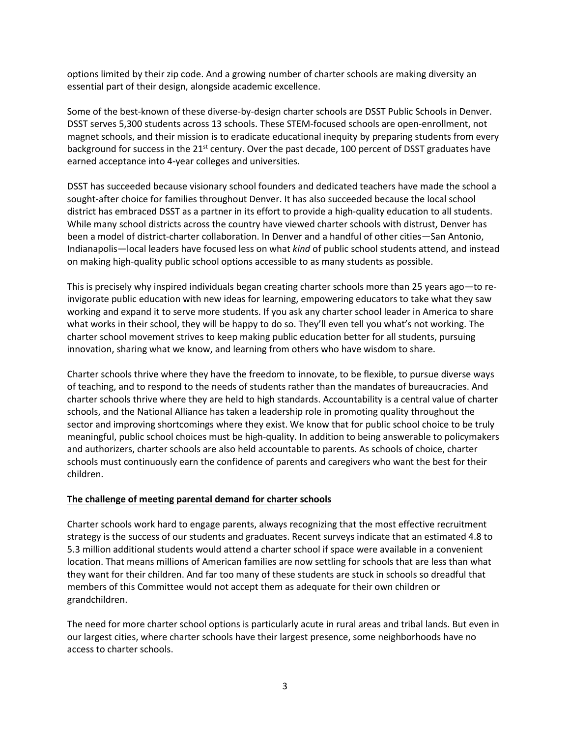options limited by their zip code. And a growing number of charter schools are making diversity an essential part of their design, alongside academic excellence.

Some of the best-known of these diverse-by-design charter schools are DSST Public Schools in Denver. DSST serves 5,300 students across 13 schools. These STEM-focused schools are open-enrollment, not magnet schools, and their mission is to eradicate educational inequity by preparing students from every background for success in the 21st century. Over the past decade, 100 percent of DSST graduates have earned acceptance into 4-year colleges and universities.

DSST has succeeded because visionary school founders and dedicated teachers have made the school a sought-after choice for families throughout Denver. It has also succeeded because the local school district has embraced DSST as a partner in its effort to provide a high-quality education to all students. While many school districts across the country have viewed charter schools with distrust, Denver has been a model of district-charter collaboration. In Denver and a handful of other cities—San Antonio, Indianapolis—local leaders have focused less on what *kind* of public school students attend, and instead on making high-quality public school options accessible to as many students as possible.

This is precisely why inspired individuals began creating charter schools more than 25 years ago—to reinvigorate public education with new ideas for learning, empowering educators to take what they saw working and expand it to serve more students. If you ask any charter school leader in America to share what works in their school, they will be happy to do so. They'll even tell you what's not working. The charter school movement strives to keep making public education better for all students, pursuing innovation, sharing what we know, and learning from others who have wisdom to share.

Charter schools thrive where they have the freedom to innovate, to be flexible, to pursue diverse ways of teaching, and to respond to the needs of students rather than the mandates of bureaucracies. And charter schools thrive where they are held to high standards. Accountability is a central value of charter schools, and the National Alliance has taken a leadership role in promoting quality throughout the sector and improving shortcomings where they exist. We know that for public school choice to be truly meaningful, public school choices must be high-quality. In addition to being answerable to policymakers and authorizers, charter schools are also held accountable to parents. As schools of choice, charter schools must continuously earn the confidence of parents and caregivers who want the best for their children.

#### **The challenge of meeting parental demand for charter schools**

Charter schools work hard to engage parents, always recognizing that the most effective recruitment strategy is the success of our students and graduates. Recent surveys indicate that an estimated 4.8 to 5.3 million additional students would attend a charter school if space were available in a convenient location. That means millions of American families are now settling for schools that are less than what they want for their children. And far too many of these students are stuck in schools so dreadful that members of this Committee would not accept them as adequate for their own children or grandchildren.

The need for more charter school options is particularly acute in rural areas and tribal lands. But even in our largest cities, where charter schools have their largest presence, some neighborhoods have no access to charter schools.